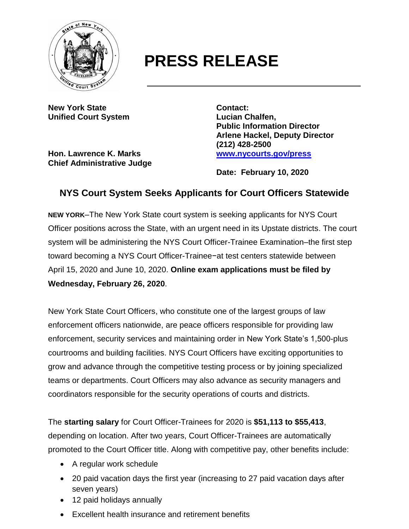

## **PRESS RELEASE**

**New York State Contact: Unified Court System Lucian Chalfen,**

**Hon. Lawrence K. Marks [www.nycourts.gov/press](http://www.nycourts.gov/press) Chief Administrative Judge**

**Public Information Director Arlene Hackel, Deputy Director (212) 428-2500**

**Date: February 10, 2020**

## **NYS Court System Seeks Applicants for Court Officers Statewide**

**NEW YORK**–The New York State court system is seeking applicants for NYS Court Officer positions across the State, with an urgent need in its Upstate districts. The court system will be administering the NYS Court Officer-Trainee Examination–the first step toward becoming a NYS Court Officer-Trainee−at test centers statewide between April 15, 2020 and June 10, 2020. **Online exam applications must be filed by Wednesday, February 26, 2020**.

New York State Court Officers, who constitute one of the largest groups of law enforcement officers nationwide, are peace officers responsible for providing law enforcement, security services and maintaining order in New York State's 1,500-plus courtrooms and building facilities. NYS Court Officers have exciting opportunities to grow and advance through the competitive testing process or by joining specialized teams or departments. Court Officers may also advance as security managers and coordinators responsible for the security operations of courts and districts.

The **starting salary** for Court Officer-Trainees for 2020 is **\$51,113 to \$55,413**, depending on location. After two years, Court Officer-Trainees are automatically promoted to the Court Officer title. Along with competitive pay, other benefits include:

- A regular work schedule
- 20 paid vacation days the first year (increasing to 27 paid vacation days after seven years)
- 12 paid holidays annually
- Excellent health insurance and retirement benefits